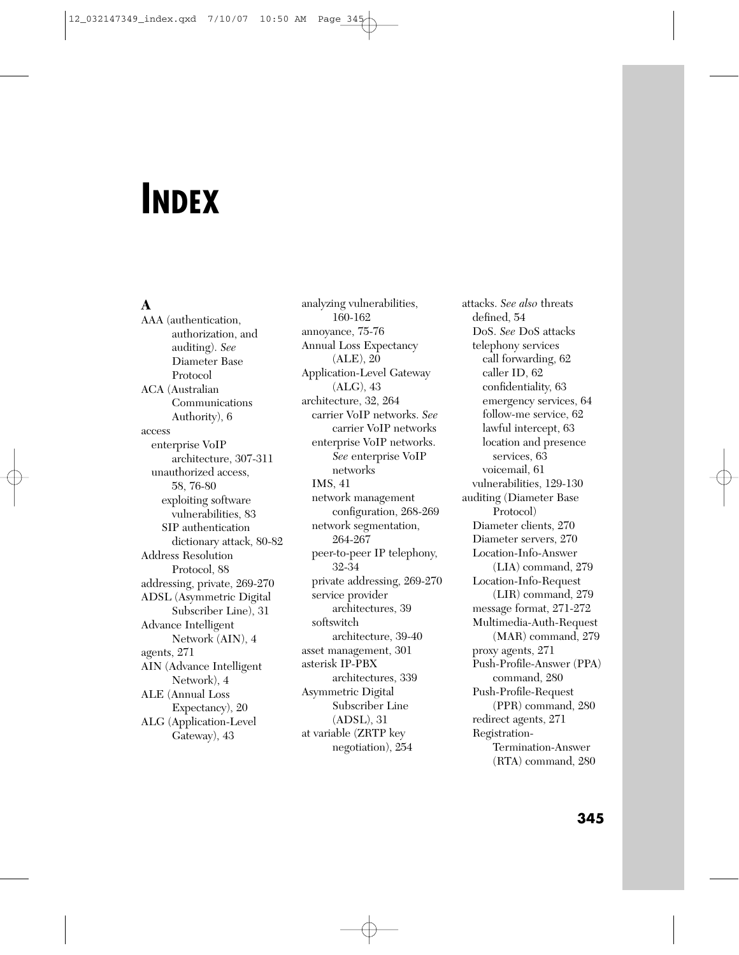# **INDEX**

# **A**

AAA (authentication, authorization, and auditing). *See* Diameter Base Protocol ACA (Australian Communications Authority), 6 access enterprise VoIP architecture, 307-311 unauthorized access, 58, 76-80 exploiting software vulnerabilities, 83 SIP authentication dictionary attack, 80-82 Address Resolution Protocol, 88 addressing, private, 269-270 ADSL (Asymmetric Digital Subscriber Line), 31 Advance Intelligent Network (AIN), 4 agents, 271 AIN (Advance Intelligent Network), 4 ALE (Annual Loss Expectancy), 20 ALG (Application-Level Gateway), 43

analyzing vulnerabilities, 160-162 annoyance, 75-76 Annual Loss Expectancy (ALE), 20 Application-Level Gateway (ALG), 43 architecture, 32, 264 carrier VoIP networks. *See* carrier VoIP networks enterprise VoIP networks. *See* enterprise VoIP networks IMS, 41 network management configuration, 268-269 network segmentation, 264-267 peer-to-peer IP telephony, 32-34 private addressing, 269-270 service provider architectures, 39 softswitch architecture, 39-40 asset management, 301 asterisk IP-PBX architectures, 339 Asymmetric Digital Subscriber Line (ADSL), 31 at variable (ZRTP key negotiation), 254

attacks. *See also* threats defined, 54 DoS. *See* DoS attacks telephony services call forwarding, 62 caller ID, 62 confidentiality, 63 emergency services, 64 follow-me service, 62 lawful intercept, 63 location and presence services, 63 voicemail, 61 vulnerabilities, 129-130 auditing (Diameter Base Protocol) Diameter clients, 270 Diameter servers, 270 Location-Info-Answer (LIA) command, 279 Location-Info-Request (LIR) command, 279 message format, 271-272 Multimedia-Auth-Request (MAR) command, 279 proxy agents, 271 Push-Profile-Answer (PPA) command, 280 Push-Profile-Request (PPR) command, 280 redirect agents, 271 Registration-Termination-Answer (RTA) command, 280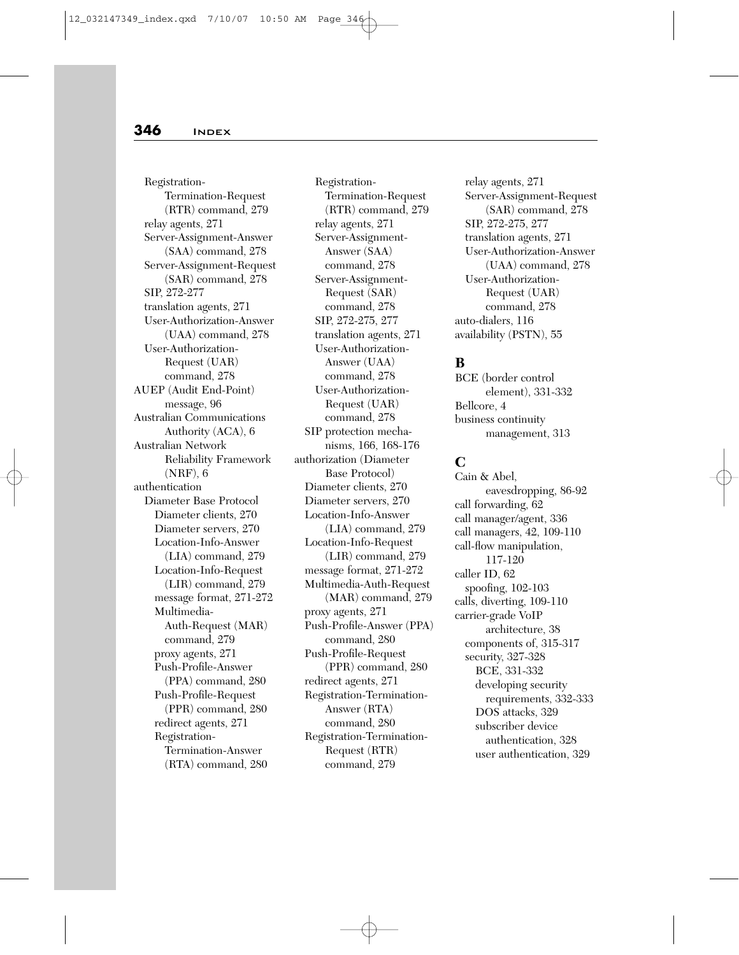Registration-Termination-Request (RTR) command, 279 relay agents, 271 Server-Assignment-Answer (SAA) command, 278 Server-Assignment-Request (SAR) command, 278 SIP, 272-277 translation agents, 271 User-Authorization-Answer (UAA) command, 278 User-Authorization-Request (UAR) command, 278 AUEP (Audit End-Point) message, 96 Australian Communications Authority (ACA), 6 Australian Network Reliability Framework (NRF), 6 authentication Diameter Base Protocol Diameter clients, 270 Diameter servers, 270 Location-Info-Answer (LIA) command, 279 Location-Info-Request (LIR) command, 279 message format, 271-272 Multimedia-Auth-Request (MAR) command, 279 proxy agents, 271 Push-Profile-Answer (PPA) command, 280 Push-Profile-Request (PPR) command, 280 redirect agents, 271 Registration-Termination-Answer (RTA) command, 280

Registration-Termination-Request (RTR) command, 279 relay agents, 271 Server-Assignment-Answer (SAA) command, 278 Server-Assignment-Request (SAR) command, 278 SIP, 272-275, 277 translation agents, 271 User-Authorization-Answer (UAA) command, 278 User-Authorization-Request (UAR) command, 278 SIP protection mechanisms, 166, 168-176 authorization (Diameter Base Protocol) Diameter clients, 270 Diameter servers, 270 Location-Info-Answer (LIA) command, 279 Location-Info-Request (LIR) command, 279 message format, 271-272 Multimedia-Auth-Request (MAR) command, 279 proxy agents, 271 Push-Profile-Answer (PPA) command, 280 Push-Profile-Request (PPR) command, 280 redirect agents, 271 Registration-Termination-Answer (RTA) command, 280 Registration-Termination-Request (RTR) command, 279

relay agents, 271 Server-Assignment-Request (SAR) command, 278 SIP, 272-275, 277 translation agents, 271 User-Authorization-Answer (UAA) command, 278 User-Authorization-Request (UAR) command, 278 auto-dialers, 116 availability (PSTN), 55

#### **B**

BCE (border control element), 331-332 Bellcore, 4 business continuity management, 313

# **C**

Cain & Abel, eavesdropping, 86-92 call forwarding, 62 call manager/agent, 336 call managers, 42, 109-110 call-flow manipulation, 117-120 caller ID, 62 spoofing, 102-103 calls, diverting, 109-110 carrier-grade VoIP architecture, 38 components of, 315-317 security, 327-328 BCE, 331-332 developing security requirements, 332-333 DOS attacks, 329 subscriber device authentication, 328 user authentication, 329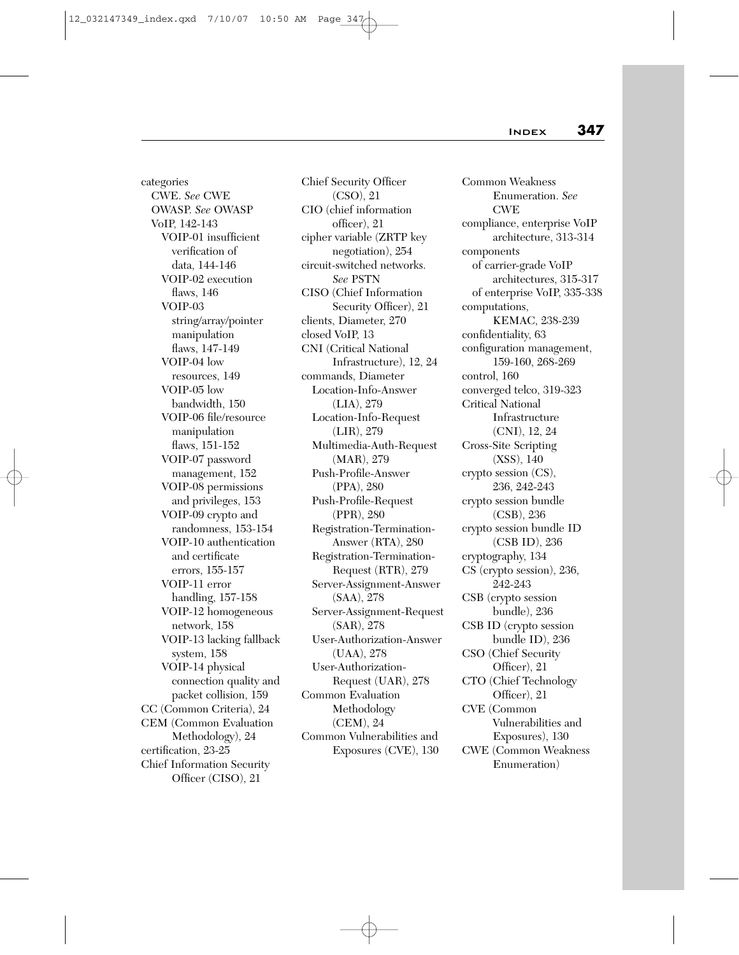categories CWE. *See* CWE OWASP. *See* OWASP VoIP, 142-143 VOIP-01 insufficient verification of data, 144-146 VOIP-02 execution flaws, 146 VOIP-03 string/array/pointer manipulation flaws, 147-149 VOIP-04 low resources, 149 VOIP-05 low bandwidth, 150 VOIP-06 file/resource manipulation flaws, 151-152 VOIP-07 password management, 152 VOIP-08 permissions and privileges, 153 VOIP-09 crypto and randomness, 153-154 VOIP-10 authentication and certificate errors, 155-157 VOIP-11 error handling, 157-158 VOIP-12 homogeneous network, 158 VOIP-13 lacking fallback system, 158 VOIP-14 physical connection quality and packet collision, 159 CC (Common Criteria), 24 CEM (Common Evaluation Methodology), 24 certification, 23-25 Chief Information Security Officer (CISO), 21

Chief Security Officer (CSO), 21 CIO (chief information officer), 21 cipher variable (ZRTP key negotiation), 254 circuit-switched networks. *See* PSTN CISO (Chief Information Security Officer), 21 clients, Diameter, 270 closed VoIP, 13 CNI (Critical National Infrastructure), 12, 24 commands, Diameter Location-Info-Answer (LIA), 279 Location-Info-Request (LIR), 279 Multimedia-Auth-Request (MAR), 279 Push-Profile-Answer (PPA), 280 Push-Profile-Request (PPR), 280 Registration-Termination-Answer (RTA), 280 Registration-Termination-Request (RTR), 279 Server-Assignment-Answer (SAA), 278 Server-Assignment-Request (SAR), 278 User-Authorization-Answer (UAA), 278 User-Authorization-Request (UAR), 278 Common Evaluation Methodology (CEM), 24 Common Vulnerabilities and Exposures (CVE), 130

Common Weakness Enumeration. *See* CWE compliance, enterprise VoIP architecture, 313-314 components of carrier-grade VoIP architectures, 315-317 of enterprise VoIP, 335-338 computations, KEMAC, 238-239 confidentiality, 63 configuration management, 159-160, 268-269 control, 160 converged telco, 319-323 Critical National Infrastructure (CNI), 12, 24 Cross-Site Scripting (XSS), 140 crypto session (CS), 236, 242-243 crypto session bundle (CSB), 236 crypto session bundle ID (CSB ID), 236 cryptography, 134 CS (crypto session), 236, 242-243 CSB (crypto session bundle), 236 CSB ID (crypto session bundle ID), 236 CSO (Chief Security Officer), 21 CTO (Chief Technology Officer), 21 CVE (Common Vulnerabilities and Exposures), 130 CWE (Common Weakness Enumeration)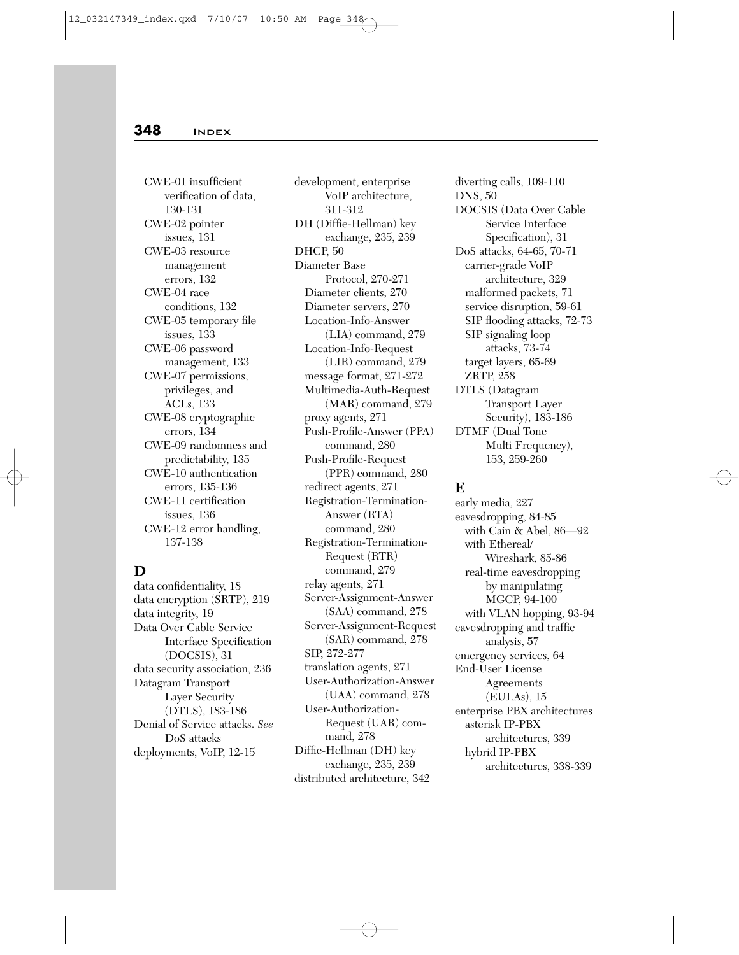CWE-01 insufficient verification of data, 130-131 CWE-02 pointer issues, 131 CWE-03 resource management errors, 132 CWE-04 race conditions, 132 CWE-05 temporary file issues, 133 CWE-06 password management, 133 CWE-07 permissions, privileges, and ACLs, 133 CWE-08 cryptographic errors, 134 CWE-09 randomness and predictability, 135 CWE-10 authentication errors, 135-136 CWE-11 certification issues, 136 CWE-12 error handling, 137-138

# **D**

data confidentiality, 18 data encryption (SRTP), 219 data integrity, 19 Data Over Cable Service Interface Specification (DOCSIS), 31 data security association, 236 Datagram Transport Layer Security (DTLS), 183-186 Denial of Service attacks. *See* DoS attacks deployments, VoIP, 12-15

development, enterprise VoIP architecture, 311-312 DH (Diffie-Hellman) key exchange, 235, 239 DHCP, 50 Diameter Base Protocol, 270-271 Diameter clients, 270 Diameter servers, 270 Location-Info-Answer (LIA) command, 279 Location-Info-Request (LIR) command, 279 message format, 271-272 Multimedia-Auth-Request (MAR) command, 279 proxy agents, 271 Push-Profile-Answer (PPA) command, 280 Push-Profile-Request (PPR) command, 280 redirect agents, 271 Registration-Termination-Answer (RTA) command, 280 Registration-Termination-Request (RTR) command, 279 relay agents, 271 Server-Assignment-Answer (SAA) command, 278 Server-Assignment-Request (SAR) command, 278 SIP, 272-277 translation agents, 271 User-Authorization-Answer (UAA) command, 278 User-Authorization-Request (UAR) command, 278 Diffie-Hellman (DH) key exchange, 235, 239 distributed architecture, 342

diverting calls, 109-110 DNS, 50 DOCSIS (Data Over Cable Service Interface Specification), 31 DoS attacks, 64-65, 70-71 carrier-grade VoIP architecture, 329 malformed packets, 71 service disruption, 59-61 SIP flooding attacks, 72-73 SIP signaling loop attacks, 73-74 target layers, 65-69 ZRTP, 258 DTLS (Datagram Transport Layer Security), 183-186 DTMF (Dual Tone Multi Frequency), 153, 259-260

## **E**

early media, 227 eavesdropping, 84-85 with Cain & Abel, 86—92 with Ethereal/ Wireshark, 85-86 real-time eavesdropping by manipulating MGCP, 94-100 with VLAN hopping, 93-94 eavesdropping and traffic analysis, 57 emergency services, 64 End-User License Agreements (EULAs), 15 enterprise PBX architectures asterisk IP-PBX architectures, 339 hybrid IP-PBX architectures, 338-339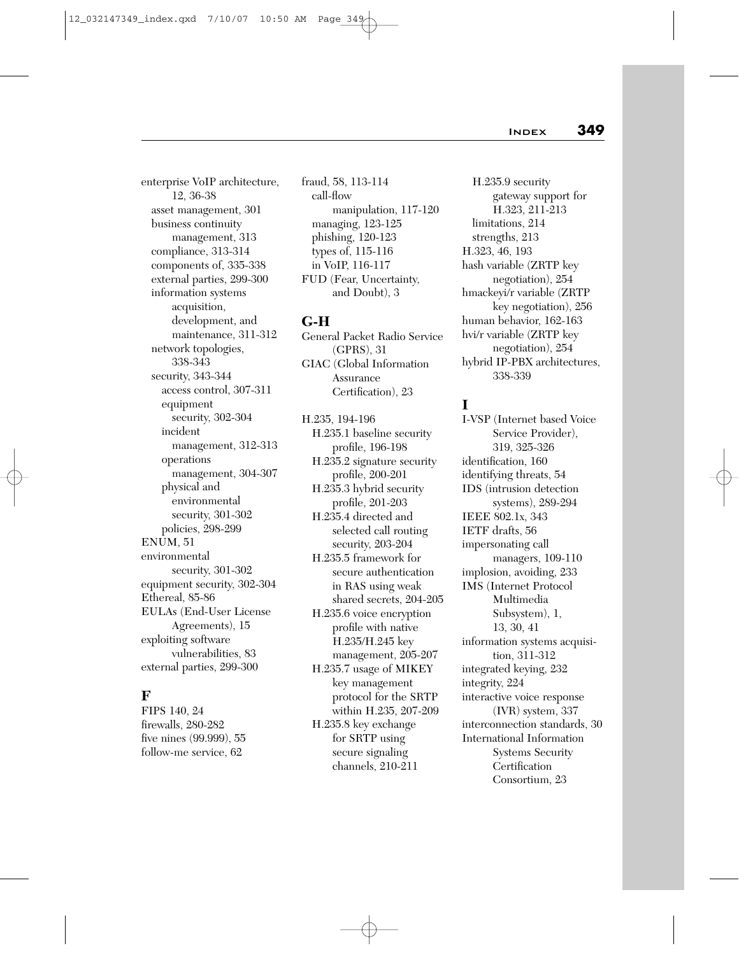enterprise VoIP architecture, 12, 36-38 asset management, 301 business continuity management, 313 compliance, 313-314 components of, 335-338 external parties, 299-300 information systems acquisition, development, and maintenance, 311-312 network topologies, 338-343 security, 343-344 access control, 307-311 equipment security, 302-304 incident management, 312-313 operations management, 304-307 physical and environmental security, 301-302 policies, 298-299 ENUM, 51 environmental security, 301-302 equipment security, 302-304 Ethereal, 85-86 EULAs (End-User License Agreements), 15 exploiting software vulnerabilities, 83 external parties, 299-300

# **F**

FIPS 140, 24 firewalls, 280-282 five nines (99.999), 55 follow-me service, 62

fraud, 58, 113-114 call-flow manipulation, 117-120 managing, 123-125 phishing, 120-123 types of, 115-116 in VoIP, 116-117 FUD (Fear, Uncertainty, and Doubt), 3

# **G-H**

General Packet Radio Service (GPRS), 31 GIAC (Global Information Assurance Certification), 23

H.235, 194-196 H.235.1 baseline security profile, 196-198 H.235.2 signature security profile, 200-201 H.235.3 hybrid security profile, 201-203 H.235.4 directed and selected call routing security, 203-204 H.235.5 framework for secure authentication in RAS using weak shared secrets, 204-205 H.235.6 voice encryption profile with native H.235/H.245 key management, 205-207 H.235.7 usage of MIKEY key management protocol for the SRTP within H.235, 207-209 H.235.8 key exchange for SRTP using secure signaling channels, 210-211

H.235.9 security gateway support for H.323, 211-213 limitations, 214 strengths, 213 H.323, 46, 193 hash variable (ZRTP key negotiation), 254 hmackeyi/r variable (ZRTP key negotiation), 256 human behavior, 162-163 hvi/r variable (ZRTP key negotiation), 254 hybrid IP-PBX architectures, 338-339

# **I**

I-VSP (Internet based Voice Service Provider), 319, 325-326 identification, 160 identifying threats, 54 IDS (intrusion detection systems), 289-294 IEEE 802.1x, 343 IETF drafts, 56 impersonating call managers, 109-110 implosion, avoiding, 233 IMS (Internet Protocol Multimedia Subsystem), 1, 13, 30, 41 information systems acquisition, 311-312 integrated keying, 232 integrity, 224 interactive voice response (IVR) system, 337 interconnection standards, 30 International Information Systems Security **Certification** Consortium, 23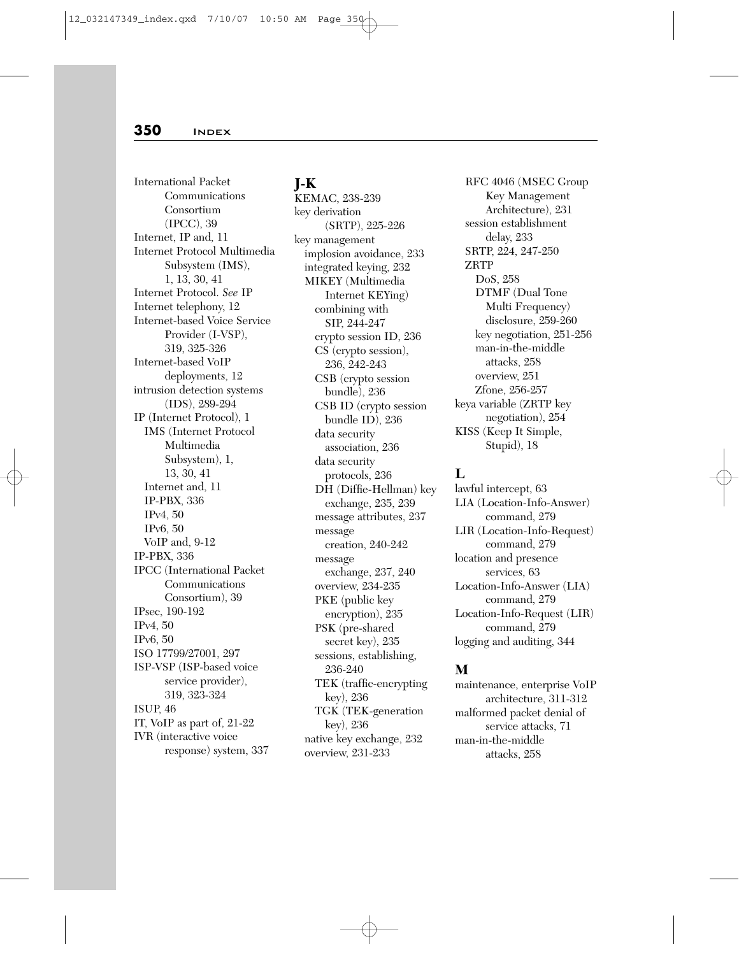International Packet Communications Consortium (IPCC), 39 Internet, IP and, 11 Internet Protocol Multimedia Subsystem (IMS), 1, 13, 30, 41 Internet Protocol. *See* IP Internet telephony, 12 Internet-based Voice Service Provider (I-VSP), 319, 325-326 Internet-based VoIP deployments, 12 intrusion detection systems (IDS), 289-294 IP (Internet Protocol), 1 IMS (Internet Protocol Multimedia Subsystem), 1, 13, 30, 41 Internet and, 11 IP-PBX, 336 IPv4, 50 IPv6, 50 VoIP and, 9-12 IP-PBX, 336 IPCC (International Packet Communications Consortium), 39 IPsec, 190-192 IPv4, 50 IPv6, 50 ISO 17799/27001, 297 ISP-VSP (ISP-based voice service provider), 319, 323-324 ISUP, 46 IT, VoIP as part of, 21-22 IVR (interactive voice response) system, 337

#### **J-K**

KEMAC, 238-239 key derivation (SRTP), 225-226 key management implosion avoidance, 233 integrated keying, 232 MIKEY (Multimedia Internet KEYing) combining with SIP, 244-247 crypto session ID, 236 CS (crypto session), 236, 242-243 CSB (crypto session bundle), 236 CSB ID (crypto session bundle ID), 236 data security association, 236 data security protocols, 236 DH (Diffie-Hellman) key exchange, 235, 239 message attributes, 237 message creation, 240-242 message exchange, 237, 240 overview, 234-235 PKE (public key encryption), 235 PSK (pre-shared secret key), 235 sessions, establishing, 236-240 TEK (traffic-encrypting key), 236 TGK (TEK-generation key), 236 native key exchange, 232 overview, 231-233

RFC 4046 (MSEC Group Key Management Architecture), 231 session establishment delay, 233 SRTP, 224, 247-250 ZRTP DoS, 258 DTMF (Dual Tone Multi Frequency) disclosure, 259-260 key negotiation, 251-256 man-in-the-middle attacks, 258 overview, 251 Zfone, 256-257 keya variable (ZRTP key negotiation), 254 KISS (Keep It Simple, Stupid), 18

## **L**

lawful intercept, 63 LIA (Location-Info-Answer) command, 279 LIR (Location-Info-Request) command, 279 location and presence services, 63 Location-Info-Answer (LIA) command, 279 Location-Info-Request (LIR) command, 279 logging and auditing, 344

# **M**

maintenance, enterprise VoIP architecture, 311-312 malformed packet denial of service attacks, 71 man-in-the-middle attacks, 258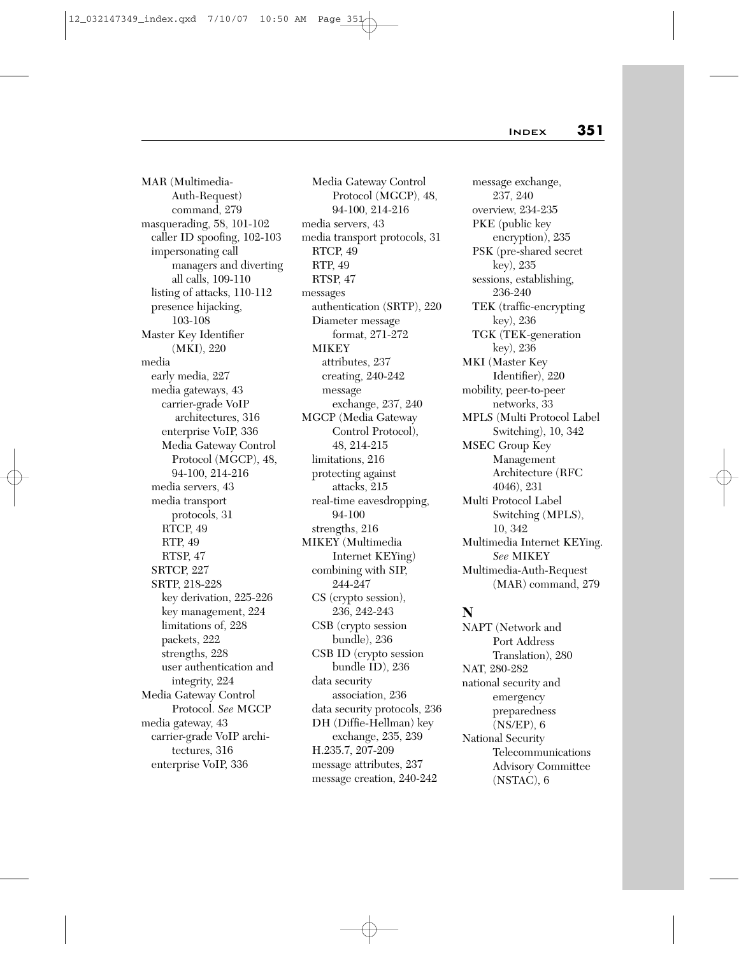MAR (Multimedia-Auth-Request) command, 279 masquerading, 58, 101-102 caller ID spoofing, 102-103 impersonating call managers and diverting all calls, 109-110 listing of attacks, 110-112 presence hijacking, 103-108 Master Key Identifier (MKI), 220 media early media, 227 media gateways, 43 carrier-grade VoIP architectures, 316 enterprise VoIP, 336 Media Gateway Control Protocol (MGCP), 48, 94-100, 214-216 media servers, 43 media transport protocols, 31 RTCP, 49 RTP, 49 RTSP, 47 SRTCP, 227 SRTP, 218-228 key derivation, 225-226 key management, 224 limitations of, 228 packets, 222 strengths, 228 user authentication and integrity, 224 Media Gateway Control Protocol. *See* MGCP media gateway, 43 carrier-grade VoIP architectures, 316 enterprise VoIP, 336

Media Gateway Control Protocol (MGCP), 48, 94-100, 214-216 media servers, 43 media transport protocols, 31 RTCP, 49 RTP, 49 RTSP, 47 messages authentication (SRTP), 220 Diameter message format, 271-272 **MIKEY** attributes, 237 creating, 240-242 message exchange, 237, 240 MGCP (Media Gateway Control Protocol), 48, 214-215 limitations, 216 protecting against attacks, 215 real-time eavesdropping, 94-100 strengths, 216 MIKEY (Multimedia Internet KEYing) combining with SIP, 244-247 CS (crypto session), 236, 242-243 CSB (crypto session bundle), 236 CSB ID (crypto session bundle ID), 236 data security association, 236 data security protocols, 236 DH (Diffie-Hellman) key exchange, 235, 239 H.235.7, 207-209 message attributes, 237 message creation, 240-242

message exchange, 237, 240 overview, 234-235 PKE (public key encryption), 235 PSK (pre-shared secret key), 235 sessions, establishing, 236-240 TEK (traffic-encrypting key), 236 TGK (TEK-generation key), 236 MKI (Master Key Identifier), 220 mobility, peer-to-peer networks, 33 MPLS (Multi Protocol Label Switching), 10, 342 MSEC Group Key Management Architecture (RFC 4046), 231 Multi Protocol Label Switching (MPLS), 10, 342 Multimedia Internet KEYing. *See* MIKEY Multimedia-Auth-Request (MAR) command, 279

#### **N**

NAPT (Network and Port Address Translation), 280 NAT, 280-282 national security and emergency preparedness (NS/EP), 6 National Security Telecommunications Advisory Committee (NSTAC), 6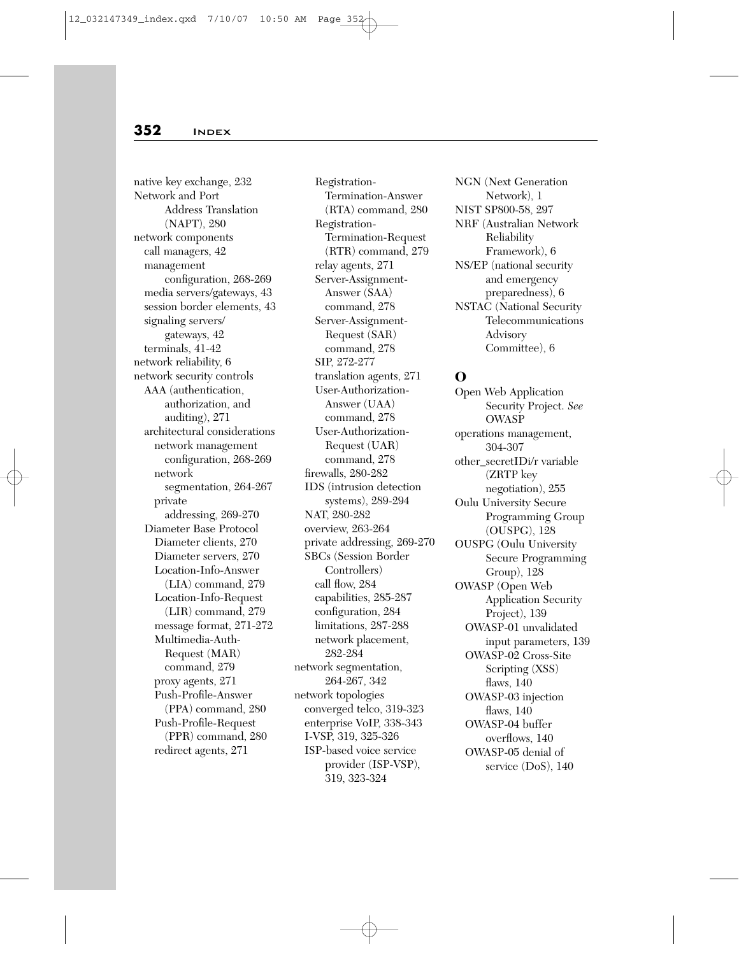native key exchange, 232 Network and Port Address Translation (NAPT), 280 network components call managers, 42 management configuration, 268-269 media servers/gateways, 43 session border elements, 43 signaling servers/ gateways, 42 terminals, 41-42 network reliability, 6 network security controls AAA (authentication, authorization, and auditing), 271 architectural considerations network management configuration, 268-269 network segmentation, 264-267 private addressing, 269-270 Diameter Base Protocol Diameter clients, 270 Diameter servers, 270 Location-Info-Answer (LIA) command, 279 Location-Info-Request (LIR) command, 279 message format, 271-272 Multimedia-Auth-Request (MAR) command, 279 proxy agents, 271 Push-Profile-Answer (PPA) command, 280 Push-Profile-Request (PPR) command, 280 redirect agents, 271

Registration-Termination-Answer (RTA) command, 280 Registration-Termination-Request (RTR) command, 279 relay agents, 271 Server-Assignment-Answer (SAA) command, 278 Server-Assignment-Request (SAR) command, 278 SIP, 272-277 translation agents, 271 User-Authorization-Answer (UAA) command, 278 User-Authorization-Request (UAR) command, 278 firewalls, 280-282 IDS (intrusion detection systems), 289-294 NAT, 280-282 overview, 263-264 private addressing, 269-270 SBCs (Session Border Controllers) call flow, 284 capabilities, 285-287 configuration, 284 limitations, 287-288 network placement, 282-284 network segmentation, 264-267, 342 network topologies converged telco, 319-323 enterprise VoIP, 338-343 I-VSP, 319, 325-326 ISP-based voice service provider (ISP-VSP), 319, 323-324

NGN (Next Generation Network), 1 NIST SP800-58, 297 NRF (Australian Network Reliability Framework), 6 NS/EP (national security and emergency preparedness), 6 NSTAC (National Security Telecommunications Advisory Committee), 6

## **O**

Open Web Application Security Project. *See* OWASP operations management, 304-307 other\_secretIDi/r variable (ZRTP key negotiation), 255 Oulu University Secure Programming Group (OUSPG), 128 OUSPG (Oulu University Secure Programming Group), 128 OWASP (Open Web Application Security Project), 139 OWASP-01 unvalidated input parameters, 139 OWASP-02 Cross-Site Scripting (XSS) flaws, 140 OWASP-03 injection flaws, 140 OWASP-04 buffer overflows, 140 OWASP-05 denial of service (DoS), 140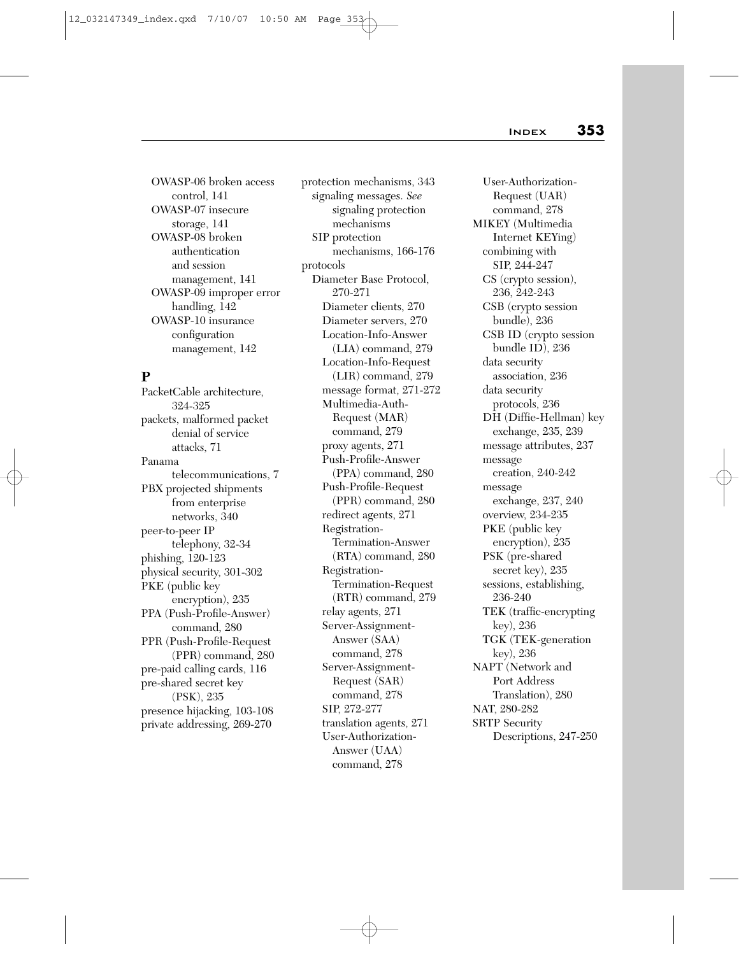OWASP-06 broken access control, 141 OWASP-07 insecure storage, 141 OWASP-08 broken authentication and session management, 141 OWASP-09 improper error handling, 142 OWASP-10 insurance configuration management, 142

## **P**

PacketCable architecture, 324-325 packets, malformed packet denial of service attacks, 71 Panama telecommunications, 7 PBX projected shipments from enterprise networks, 340 peer-to-peer IP telephony, 32-34 phishing, 120-123 physical security, 301-302 PKE (public key encryption), 235 PPA (Push-Profile-Answer) command, 280 PPR (Push-Profile-Request (PPR) command, 280 pre-paid calling cards, 116 pre-shared secret key (PSK), 235 presence hijacking, 103-108 private addressing, 269-270

protection mechanisms, 343 signaling messages. *See* signaling protection mechanisms SIP protection mechanisms, 166-176 protocols Diameter Base Protocol, 270-271 Diameter clients, 270 Diameter servers, 270 Location-Info-Answer (LIA) command, 279 Location-Info-Request (LIR) command, 279 message format, 271-272 Multimedia-Auth-Request (MAR) command, 279 proxy agents, 271 Push-Profile-Answer (PPA) command, 280 Push-Profile-Request (PPR) command, 280 redirect agents, 271 Registration-Termination-Answer (RTA) command, 280 Registration-Termination-Request (RTR) command, 279 relay agents, 271 Server-Assignment-Answer (SAA) command, 278 Server-Assignment-Request (SAR) command, 278 SIP, 272-277 translation agents, 271 User-Authorization-Answer (UAA) command, 278

User-Authorization-Request (UAR) command, 278 MIKEY (Multimedia Internet KEYing) combining with SIP, 244-247 CS (crypto session), 236, 242-243 CSB (crypto session bundle), 236 CSB ID (crypto session bundle ID), 236 data security association, 236 data security protocols, 236 DH (Diffie-Hellman) key exchange, 235, 239 message attributes, 237 message creation, 240-242 message exchange, 237, 240 overview, 234-235 PKE (public key encryption), 235 PSK (pre-shared secret key), 235 sessions, establishing, 236-240 TEK (traffic-encrypting key), 236 TGK (TEK-generation key), 236 NAPT (Network and Port Address Translation), 280 NAT, 280-282 SRTP Security Descriptions, 247-250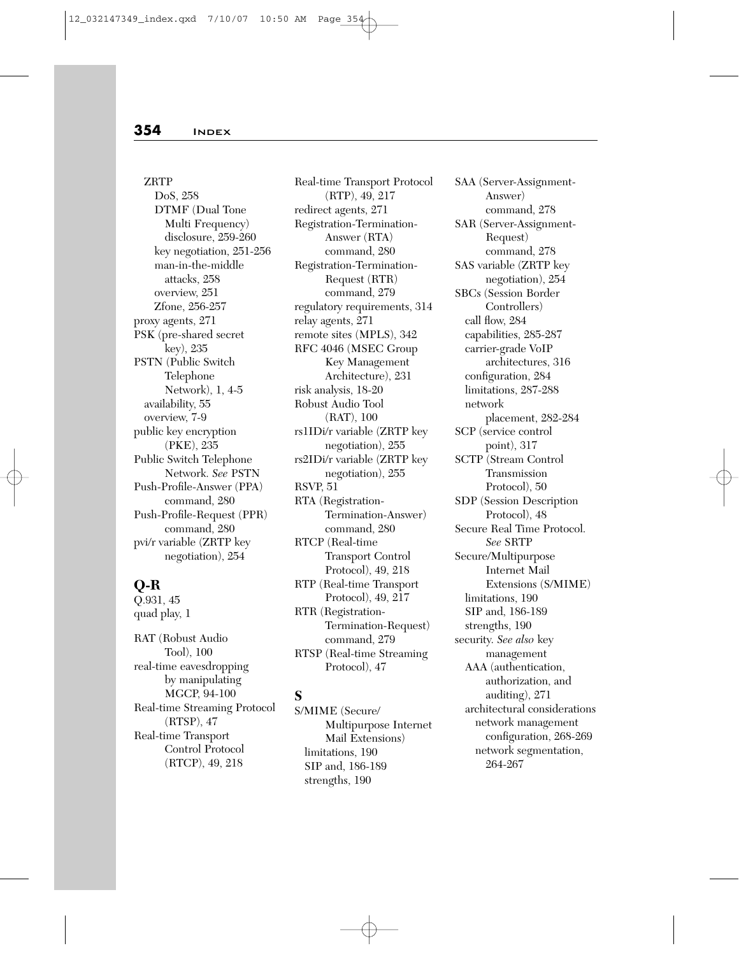ZRTP DoS, 258 DTMF (Dual Tone Multi Frequency) disclosure, 259-260 key negotiation, 251-256 man-in-the-middle attacks, 258 overview, 251 Zfone, 256-257 proxy agents, 271 PSK (pre-shared secret key), 235 PSTN (Public Switch Telephone Network), 1, 4-5 availability, 55 overview, 7-9 public key encryption (PKE), 235 Public Switch Telephone Network. *See* PSTN Push-Profile-Answer (PPA) command, 280 Push-Profile-Request (PPR) command, 280 pvi/r variable (ZRTP key negotiation), 254

## **Q-R**

Q.931, 45 quad play, 1

RAT (Robust Audio Tool), 100 real-time eavesdropping by manipulating MGCP, 94-100 Real-time Streaming Protocol (RTSP), 47 Real-time Transport Control Protocol (RTCP), 49, 218

Real-time Transport Protocol (RTP), 49, 217 redirect agents, 271 Registration-Termination-Answer (RTA) command, 280 Registration-Termination-Request (RTR) command, 279 regulatory requirements, 314 relay agents, 271 remote sites (MPLS), 342 RFC 4046 (MSEC Group Key Management Architecture), 231 risk analysis, 18-20 Robust Audio Tool (RAT), 100 rs1IDi/r variable (ZRTP key negotiation), 255 rs2IDi/r variable (ZRTP key negotiation), 255 RSVP, 51 RTA (Registration-Termination-Answer) command, 280 RTCP (Real-time Transport Control Protocol), 49, 218 RTP (Real-time Transport Protocol), 49, 217 RTR (Registration-Termination-Request) command, 279 RTSP (Real-time Streaming Protocol), 47

## **S**

S/MIME (Secure/ Multipurpose Internet Mail Extensions) limitations, 190 SIP and, 186-189 strengths, 190

SAA (Server-Assignment-Answer) command, 278 SAR (Server-Assignment-Request) command, 278 SAS variable (ZRTP key negotiation), 254 SBCs (Session Border Controllers) call flow, 284 capabilities, 285-287 carrier-grade VoIP architectures, 316 configuration, 284 limitations, 287-288 network placement, 282-284 SCP (service control point), 317 SCTP (Stream Control Transmission Protocol), 50 SDP (Session Description Protocol), 48 Secure Real Time Protocol. *See* SRTP Secure/Multipurpose Internet Mail Extensions (S/MIME) limitations, 190 SIP and, 186-189 strengths, 190 security. *See also* key management AAA (authentication, authorization, and auditing), 271 architectural considerations network management configuration, 268-269 network segmentation, 264-267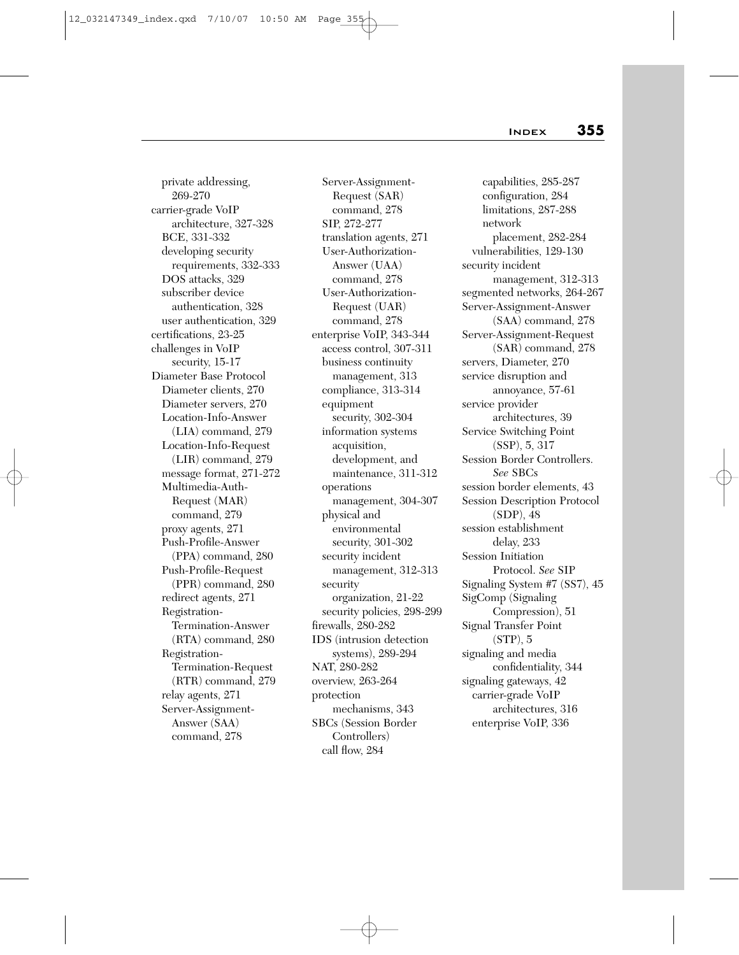private addressing, 269-270 carrier-grade VoIP architecture, 327-328 BCE, 331-332 developing security requirements, 332-333 DOS attacks, 329 subscriber device authentication, 328 user authentication, 329 certifications, 23-25 challenges in VoIP security, 15-17 Diameter Base Protocol Diameter clients, 270 Diameter servers, 270 Location-Info-Answer (LIA) command, 279 Location-Info-Request (LIR) command, 279 message format, 271-272 Multimedia-Auth-Request (MAR) command, 279 proxy agents, 271 Push-Profile-Answer (PPA) command, 280 Push-Profile-Request (PPR) command, 280 redirect agents, 271 Registration-Termination-Answer (RTA) command, 280 Registration-Termination-Request (RTR) command, 279 relay agents, 271 Server-Assignment-Answer (SAA) command, 278

Server-Assignment-Request (SAR) command, 278 SIP, 272-277 translation agents, 271 User-Authorization-Answer (UAA) command, 278 User-Authorization-Request (UAR) command, 278 enterprise VoIP, 343-344 access control, 307-311 business continuity management, 313 compliance, 313-314 equipment security, 302-304 information systems acquisition, development, and maintenance, 311-312 operations management, 304-307 physical and environmental security, 301-302 security incident management, 312-313 security organization, 21-22 security policies, 298-299 firewalls, 280-282 IDS (intrusion detection systems), 289-294 NAT, 280-282 overview, 263-264 protection mechanisms, 343 SBCs (Session Border Controllers) call flow, 284

capabilities, 285-287 configuration, 284 limitations, 287-288 network placement, 282-284 vulnerabilities, 129-130 security incident management, 312-313 segmented networks, 264-267 Server-Assignment-Answer (SAA) command, 278 Server-Assignment-Request (SAR) command, 278 servers, Diameter, 270 service disruption and annoyance, 57-61 service provider architectures, 39 Service Switching Point (SSP), 5, 317 Session Border Controllers. *See* SBCs session border elements, 43 Session Description Protocol (SDP), 48 session establishment delay, 233 Session Initiation Protocol. *See* SIP Signaling System #7 (SS7), 45 SigComp (Signaling Compression), 51 Signal Transfer Point (STP), 5 signaling and media confidentiality, 344 signaling gateways, 42 carrier-grade VoIP architectures, 316 enterprise VoIP, 336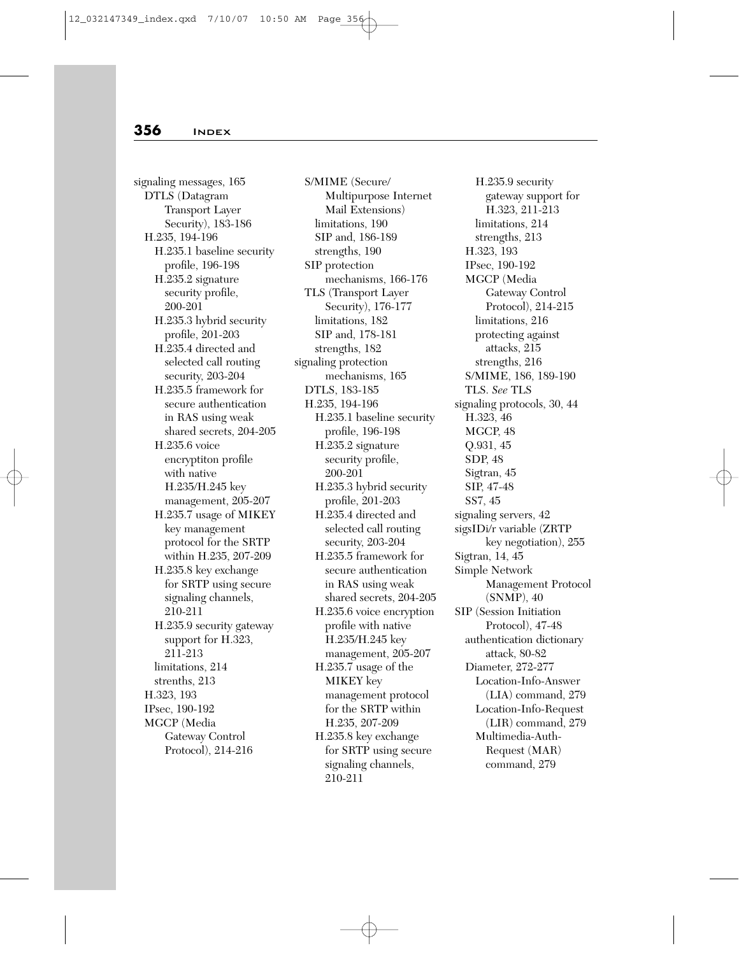signaling messages, 165 DTLS (Datagram Transport Layer Security), 183-186 H.235, 194-196 H.235.1 baseline security profile, 196-198 H.235.2 signature security profile, 200-201 H.235.3 hybrid security profile, 201-203 H.235.4 directed and selected call routing security, 203-204 H.235.5 framework for secure authentication in RAS using weak shared secrets, 204-205 H.235.6 voice encryptiton profile with native H.235/H.245 key management, 205-207 H.235.7 usage of MIKEY key management protocol for the SRTP within H.235, 207-209 H.235.8 key exchange for SRTP using secure signaling channels, 210-211 H.235.9 security gateway support for H.323, 211-213 limitations, 214 strenths, 213 H.323, 193 IPsec, 190-192 MGCP (Media Gateway Control Protocol), 214-216

S/MIME (Secure/ Multipurpose Internet Mail Extensions) limitations, 190 SIP and, 186-189 strengths, 190 SIP protection mechanisms, 166-176 TLS (Transport Layer Security), 176-177 limitations, 182 SIP and, 178-181 strengths, 182 signaling protection mechanisms, 165 DTLS, 183-185 H.235, 194-196 H.235.1 baseline security profile, 196-198 H.235.2 signature security profile, 200-201 H.235.3 hybrid security profile, 201-203 H.235.4 directed and selected call routing security, 203-204 H.235.5 framework for secure authentication in RAS using weak shared secrets, 204-205 H.235.6 voice encryption profile with native H.235/H.245 key management, 205-207 H.235.7 usage of the MIKEY key management protocol for the SRTP within H.235, 207-209 H.235.8 key exchange for SRTP using secure signaling channels, 210-211

H.235.9 security gateway support for H.323, 211-213 limitations, 214 strengths, 213 H.323, 193 IPsec, 190-192 MGCP (Media Gateway Control Protocol), 214-215 limitations, 216 protecting against attacks, 215 strengths, 216 S/MIME, 186, 189-190 TLS. *See* TLS signaling protocols, 30, 44 H.323, 46 MGCP, 48 Q.931, 45 SDP, 48 Sigtran, 45 SIP, 47-48 SS7, 45 signaling servers, 42 sigsIDi/r variable (ZRTP key negotiation), 255 Sigtran, 14, 45 Simple Network Management Protocol (SNMP), 40 SIP (Session Initiation Protocol), 47-48 authentication dictionary attack, 80-82 Diameter, 272-277 Location-Info-Answer (LIA) command, 279 Location-Info-Request (LIR) command, 279 Multimedia-Auth-Request (MAR) command, 279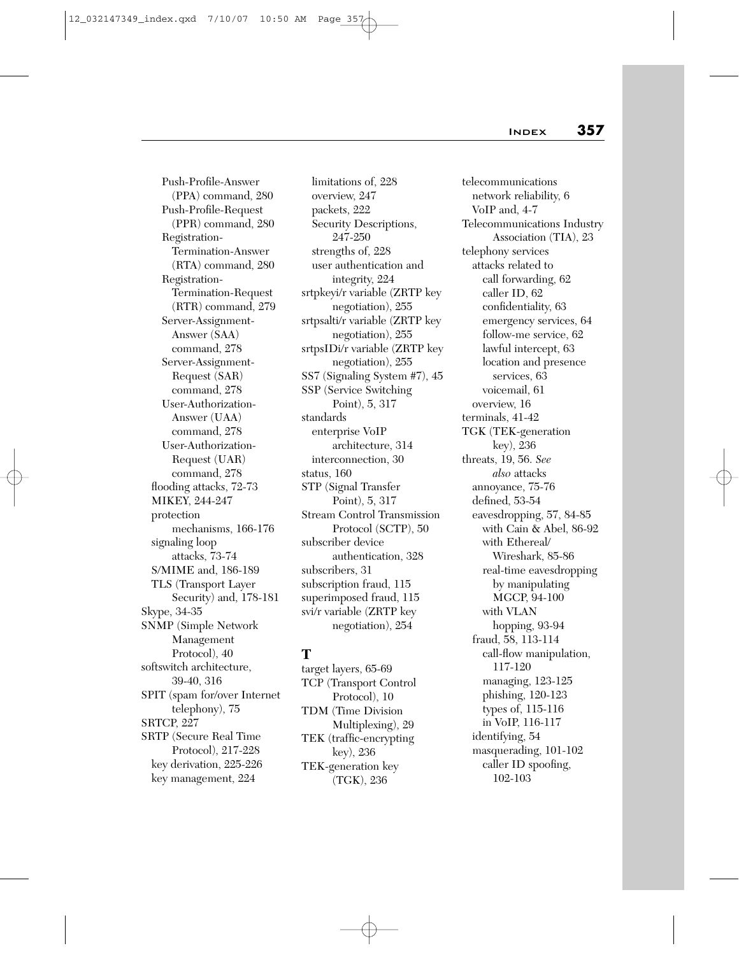Push-Profile-Answer (PPA) command, 280 Push-Profile-Request (PPR) command, 280 Registration-Termination-Answer (RTA) command, 280 Registration-Termination-Request (RTR) command, 279 Server-Assignment-Answer (SAA) command, 278 Server-Assignment-Request (SAR) command, 278 User-Authorization-Answer (UAA) command, 278 User-Authorization-Request (UAR) command, 278 flooding attacks, 72-73 MIKEY, 244-247 protection mechanisms, 166-176 signaling loop attacks, 73-74 S/MIME and, 186-189 TLS (Transport Layer Security) and, 178-181 Skype, 34-35 SNMP (Simple Network Management Protocol), 40 softswitch architecture, 39-40, 316 SPIT (spam for/over Internet telephony), 75 SRTCP, 227 SRTP (Secure Real Time Protocol), 217-228 key derivation, 225-226 key management, 224

limitations of, 228 overview, 247 packets, 222 Security Descriptions, 247-250 strengths of, 228 user authentication and integrity, 224 srtpkeyi/r variable (ZRTP key negotiation), 255 srtpsalti/r variable (ZRTP key negotiation), 255 srtpsIDi/r variable (ZRTP key negotiation), 255 SS7 (Signaling System #7), 45 SSP (Service Switching Point), 5, 317 standards enterprise VoIP architecture, 314 interconnection, 30 status, 160 STP (Signal Transfer Point), 5, 317 Stream Control Transmission Protocol (SCTP), 50 subscriber device authentication, 328 subscribers, 31 subscription fraud, 115 superimposed fraud, 115 svi/r variable (ZRTP key negotiation), 254

## **T**

target layers, 65-69 TCP (Transport Control Protocol), 10 TDM (Time Division Multiplexing), 29 TEK (traffic-encrypting key), 236 TEK-generation key (TGK), 236

telecommunications network reliability, 6 VoIP and, 4-7 Telecommunications Industry Association (TIA), 23 telephony services attacks related to call forwarding, 62 caller ID, 62 confidentiality, 63 emergency services, 64 follow-me service, 62 lawful intercept, 63 location and presence services, 63 voicemail, 61 overview, 16 terminals, 41-42 TGK (TEK-generation key), 236 threats, 19, 56. *See also* attacks annoyance, 75-76 defined, 53-54 eavesdropping, 57, 84-85 with Cain & Abel, 86-92 with Ethereal/ Wireshark, 85-86 real-time eavesdropping by manipulating MGCP, 94-100 with VLAN hopping, 93-94 fraud, 58, 113-114 call-flow manipulation, 117-120 managing, 123-125 phishing, 120-123 types of, 115-116 in VoIP, 116-117 identifying, 54 masquerading, 101-102 caller ID spoofing, 102-103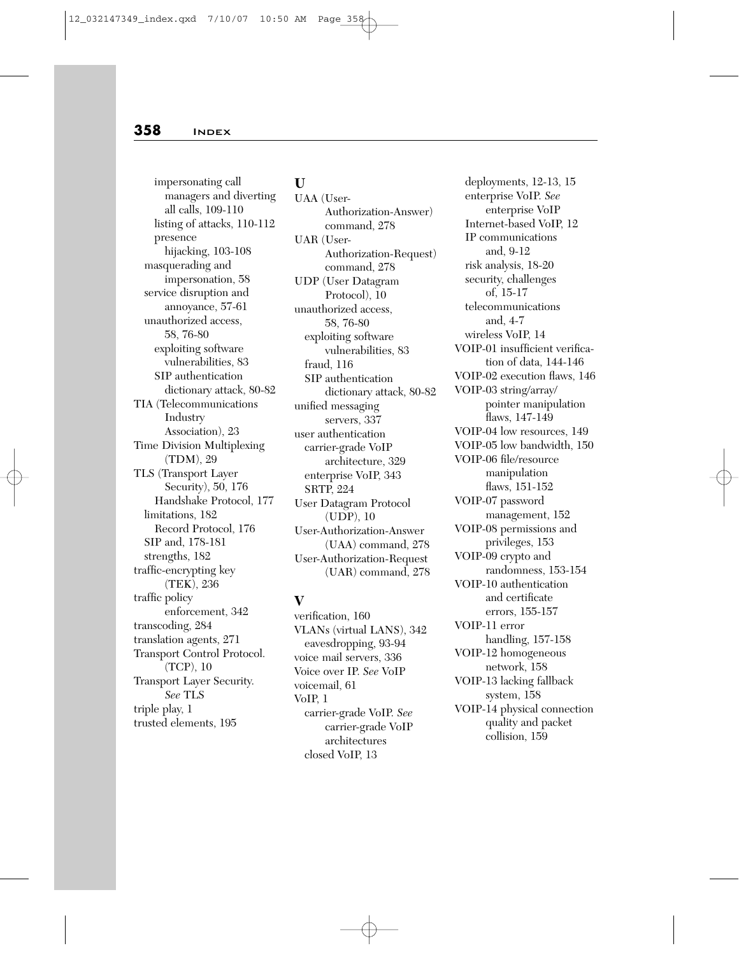impersonating call managers and diverting all calls, 109-110 listing of attacks, 110-112 presence hijacking, 103-108 masquerading and impersonation, 58 service disruption and annoyance, 57-61 unauthorized access, 58, 76-80 exploiting software vulnerabilities, 83 SIP authentication dictionary attack, 80-82 TIA (Telecommunications Industry Association), 23 Time Division Multiplexing (TDM), 29 TLS (Transport Layer Security), 50, 176 Handshake Protocol, 177 limitations, 182 Record Protocol, 176 SIP and, 178-181 strengths, 182 traffic-encrypting key (TEK), 236 traffic policy enforcement, 342 transcoding, 284 translation agents, 271 Transport Control Protocol. (TCP), 10 Transport Layer Security. *See* TLS triple play, 1 trusted elements, 195

#### **U**

UAA (User-Authorization-Answer) command, 278 UAR (User-Authorization-Request) command, 278 UDP (User Datagram Protocol), 10 unauthorized access, 58, 76-80 exploiting software vulnerabilities, 83 fraud, 116 SIP authentication dictionary attack, 80-82 unified messaging servers, 337 user authentication carrier-grade VoIP architecture, 329 enterprise VoIP, 343 SRTP, 224 User Datagram Protocol (UDP), 10 User-Authorization-Answer (UAA) command, 278 User-Authorization-Request (UAR) command, 278

# **V**

verification, 160 VLANs (virtual LANS), 342 eavesdropping, 93-94 voice mail servers, 336 Voice over IP. *See* VoIP voicemail, 61 VoIP, 1 carrier-grade VoIP. *See* carrier-grade VoIP architectures closed VoIP, 13

deployments, 12-13, 15 enterprise VoIP. *See* enterprise VoIP Internet-based VoIP, 12 IP communications and, 9-12 risk analysis, 18-20 security, challenges of, 15-17 telecommunications and, 4-7 wireless VoIP, 14 VOIP-01 insufficient verification of data, 144-146 VOIP-02 execution flaws, 146 VOIP-03 string/array/ pointer manipulation flaws, 147-149 VOIP-04 low resources, 149 VOIP-05 low bandwidth, 150 VOIP-06 file/resource manipulation flaws, 151-152 VOIP-07 password management, 152 VOIP-08 permissions and privileges, 153 VOIP-09 crypto and randomness, 153-154 VOIP-10 authentication and certificate errors, 155-157 VOIP-11 error handling, 157-158 VOIP-12 homogeneous network, 158 VOIP-13 lacking fallback system, 158 VOIP-14 physical connection quality and packet collision, 159